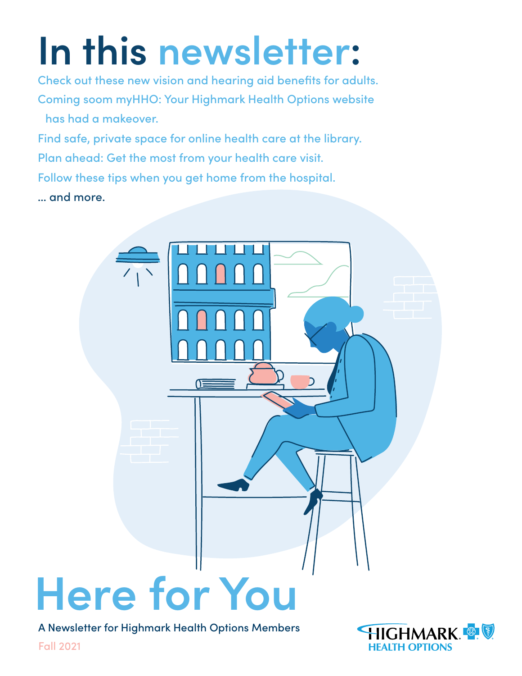# **In this newsletter:**

[Check out these new vision and hearing aid benefits for adults.](#page-4-0) [Coming soom myHHO: Your Highmark Health Options website](#page-3-0)  [has had a makeover.](#page-3-0)

[Find safe, private space for online health care at the library.](#page-12-0) [Plan ahead: Get the most from your health care visit.](#page-19-0) [Follow these tips when you get home from the hospital.](#page-24-0) … and more.



A Newsletter for Highmark Health Options Members



Fall 2021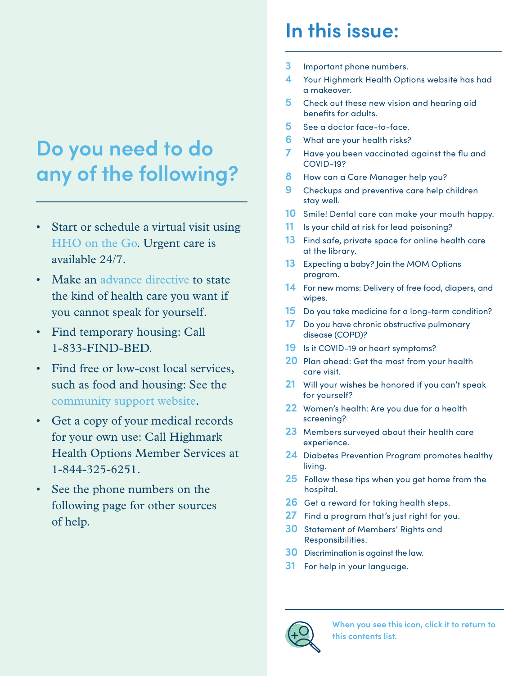## **Do you need to do any of the following?**

- Start or schedule a virtual visit using [HHO on the Go.](https://www.hhoonthego.com/landing.htm) Urgent care is available 24/7.
- Make an [advance directive t](#page-20-0)o state the kind of health care you want if you cannot speak for yourself.
- Find temporary housing: Call 1-833-FIND-BED.
- Find free or low-cost local services, such as food and housing: See the [community support website.](https://hmhealthoptions.auntbertha.com/)
- Get a copy of your medical records for your own use: Call Highmark Health Options Member Services at 1-844-325-6251.
- See the phone numbers on the following page for other sources of help.

## **In this issue:**

- **3** [Important phone numbers.](#page-2-0)
- **4** [Your Highmark Health Options website has had](#page-3-0)  [a makeover.](#page-3-0)
- **5** [Check out these new vision and hearing aid](#page-4-0)  [benefits for adults.](#page-4-0)
- **5** [See a doctor face-to-face.](#page-4-0)
- **6** [What are your health risks?](#page-5-0)
- **7** [Have you been vaccinated against the flu and](#page-6-0)  [COVID-19?](#page-6-0)
- **8** [How can a Care Manager help you?](#page-7-0)
- **9** [Checkups and preventive care help children](#page-8-0)  [stay well.](#page-8-0)
- **10** [Smile! Dental care can make your mouth happy.](#page-9-0)
- **11** [Is your child at risk for lead poisoning?](#page-10-0)
- **13** [Find safe, private space for online health care](#page-12-0)  [at the library.](#page-12-0)
- **13** [Expecting a baby? Join the MOM Options](#page-12-0)  [program.](#page-12-0)
- **14** [For new moms: Delivery of free food, diapers, and](#page-13-0)  [wipes.](#page-13-0)
- **15** Do you take medicine for a long-term condition?
- **17** [Do you have chronic obstructive pulmonary](#page-16-0)  [disease \(COPD\)?](#page-16-0)
- **19** [Is it COVID-19 or heart symptoms?](#page-18-0)
- **[20](#page-19-0)** [Plan ahead: Get the most from your health](#page-19-0)  [care visit.](#page-19-0)
- **21** [Will your wishes be honored if you can't speak](#page-20-0)  [for yourself?](#page-20-0)
- **22** [Women's health: Are you due for a health](#page-21-0)  [screening?](#page-21-0)
- **23** [Members surveyed about their health care](#page-22-0)  [experience.](#page-22-0)
- **24** [Diabetes Prevention Program promotes healthy](#page-23-0)  [living.](#page-23-0)
- **25** [Follow these tips when you get home from the](#page-24-0)  [hospital.](#page-24-0)
- **26** [Get a reward for taking health steps.](#page-25-0)
- **27** [Find a program that's just right for you.](#page-26-0)
- **[30](#page-29-0)** [Statement of Members' Rights and](#page-29-0)  [Responsibilities](#page-29-0).
- **[30](#page-29-0)** [Discrimination is against the law.](#page-29-0)
- **[31](#page-30-0)** [For help in your language.](#page-30-0)



**When you see this icon, click it to return to this contents list.**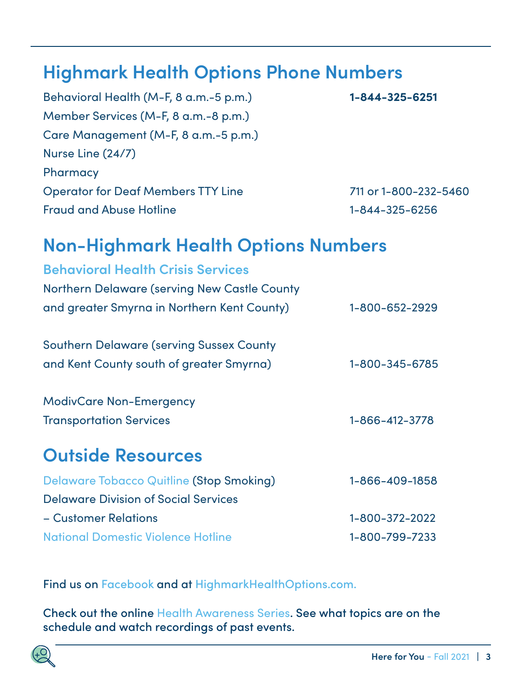### <span id="page-2-0"></span>**Highmark Health Options Phone Numbers**

| Behavioral Health (M-F, 8 a.m.-5 p.m.)    | 1-844-325-6251        |
|-------------------------------------------|-----------------------|
| Member Services (M-F, 8 a.m.-8 p.m.)      |                       |
| Care Management (M-F, 8 a.m.-5 p.m.)      |                       |
| Nurse Line (24/7)                         |                       |
| Pharmacy                                  |                       |
| <b>Operator for Deaf Members TTY Line</b> | 711 or 1-800-232-5460 |
| <b>Fraud and Abuse Hotline</b>            | 1-844-325-6256        |

### **Non-Highmark Health Options Numbers**

| <b>Behavioral Health Crisis Services</b>        |                |
|-------------------------------------------------|----------------|
| Northern Delaware (serving New Castle County    |                |
| and greater Smyrna in Northern Kent County)     | 1-800-652-2929 |
| <b>Southern Delaware (serving Sussex County</b> |                |
| and Kent County south of greater Smyrna)        | 1-800-345-6785 |
| <b>ModivCare Non-Emergency</b>                  |                |
| <b>Transportation Services</b>                  | 1-866-412-3778 |
| <b>Outside Resources</b>                        |                |
| <b>Delaware Tobacco Quitline (Stop Smoking)</b> | 1-866-409-1858 |
| <b>Delaware Division of Social Services</b>     |                |
| - Customer Relations                            | 1-800-372-2022 |
| <b>National Domestic Violence Hotline</b>       | 1-800-799-7233 |

Find us on [Facebook](https://www.facebook.com/HighmarkHealthOptions) and at [HighmarkHealthOptions.com.](http://HighmarkHealthOptions.com)

Check out the online [Health Awareness Series](https://www.highmarkhealthoptions.com/members/health-awareness-series.html). See what topics are on the schedule and watch recordings of past events.

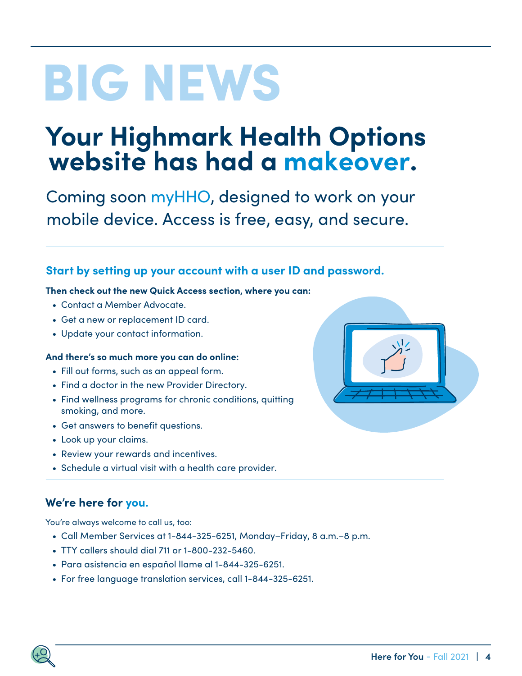# <span id="page-3-0"></span>BIG NEWS

# **Your Highmark Health Options website has had a makeover.**

Coming soon myHHO, designed to work on your mobile device. Access is free, easy, and secure.

### **Start by setting up your account with a user ID and password.**

#### **Then check out the new Quick Access section, where you can:**

- Contact a Member Advocate.
- Get a new or replacement ID card.
- Update your contact information.

#### **And there's so much more you can do online:**

- Fill out forms, such as an appeal form.
- Find a doctor in the new Provider Directory.
- Find wellness programs for chronic conditions, quitting smoking, and more.
- Get answers to benefit questions.
- Look up your claims.
- Review your rewards and incentives.
- Schedule a virtual visit with a health care provider.

### **We're here for you.**

You're always welcome to call us, too:

- Call Member Services at 1-844-325-6251, Monday–Friday, 8 a.m.–8 p.m.
- TTY callers should dial 711 or 1-800-232-5460.
- Para asistencia en español llame al 1-844-325-6251.
- For free language translation services, call 1-844-325-6251.

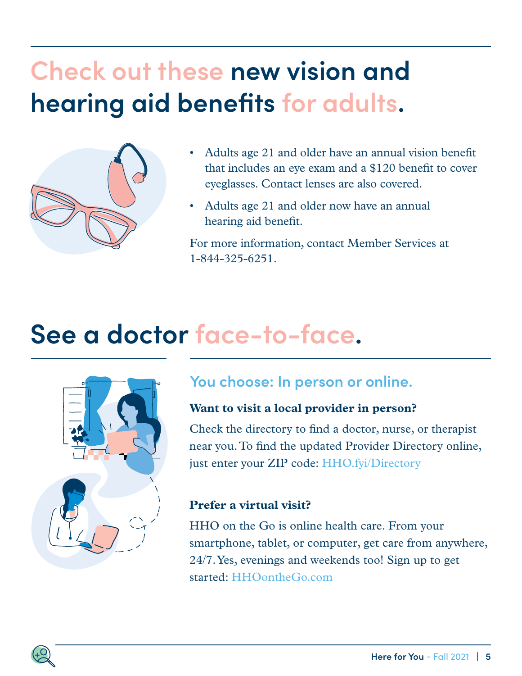## <span id="page-4-0"></span>**Check out these new vision and hearing aid benefits for adults.**



- Adults age 21 and older have an annual vision benefit that includes an eye exam and a \$120 benefit to cover eyeglasses. Contact lenses are also covered.
- Adults age 21 and older now have an annual hearing aid benefit.

For more information, contact Member Services at 1-844-325-6251.

## **See a doctor face-to-face.**



### **You choose: In person or online.**

### **Want to visit a local provider in person?**

Check the directory to find a doctor, nurse, or therapist near you. To find the updated Provider Directory online, just enter your ZIP code: [HHO.fyi/Directory](http://HHO.fyi/Directory)

### **Prefer a virtual visit?**

HHO on the Go is online health care. From your smartphone, tablet, or computer, get care from anywhere, 24/7. Yes, evenings and weekends too! Sign up to get started: [HHOontheGo.com](http://HHOontheGo.com)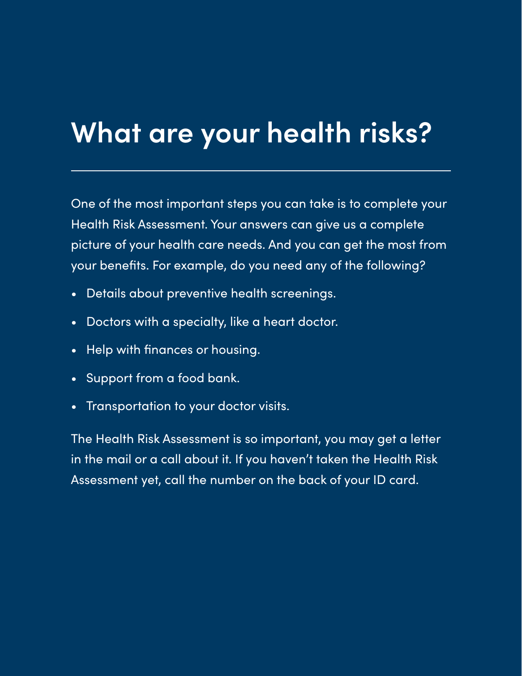## <span id="page-5-0"></span>**What are your health risks?**

One of the most important steps you can take is to complete your Health Risk Assessment. Your answers can give us a complete picture of your health care needs. And you can get the most from your benefits. For example, do you need any of the following?

- Details about preventive health screenings.
- Doctors with a specialty, like a heart doctor.
- Help with finances or housing.
- Support from a food bank.
- Transportation to your doctor visits.

The Health Risk Assessment is so important, you may get a letter in the mail or a call about it. If you haven't taken the Health Risk Assessment yet, call the number on the back of your ID card.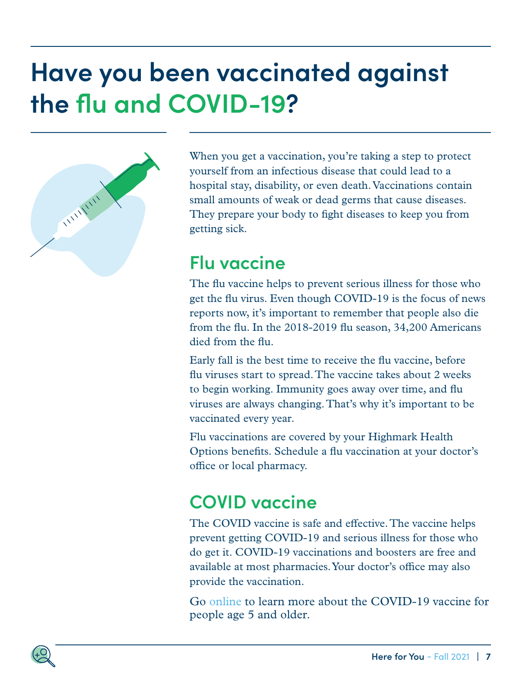## <span id="page-6-0"></span>**Have you been vaccinated against the flu and COVID-19?**



When you get a vaccination, you're taking a step to protect yourself from an infectious disease that could lead to a hospital stay, disability, or even death. Vaccinations contain small amounts of weak or dead germs that cause diseases. They prepare your body to fight diseases to keep you from getting sick.

### **Flu vaccine**

The flu vaccine helps to prevent serious illness for those who get the flu virus. Even though COVID-19 is the focus of news reports now, it's important to remember that people also die from the flu. In the 2018-2019 flu season, 34,200 Americans died from the flu.

Early fall is the best time to receive the flu vaccine, before flu viruses start to spread. The vaccine takes about 2 weeks to begin working. Immunity goes away over time, and flu viruses are always changing. That's why it's important to be vaccinated every year.

Flu vaccinations are covered by your Highmark Health Options benefits. Schedule a flu vaccination at your doctor's office or local pharmacy.

## **COVID vaccine**

The COVID vaccine is safe and effective. The vaccine helps prevent getting COVID-19 and serious illness for those who do get it. COVID-19 vaccinations and boosters are free and available at most pharmacies. Your doctor's office may also provide the vaccination.

Go [online](https://coronavirus.delaware.gov) to learn more about the COVID-19 vaccine for people age 5 and older.

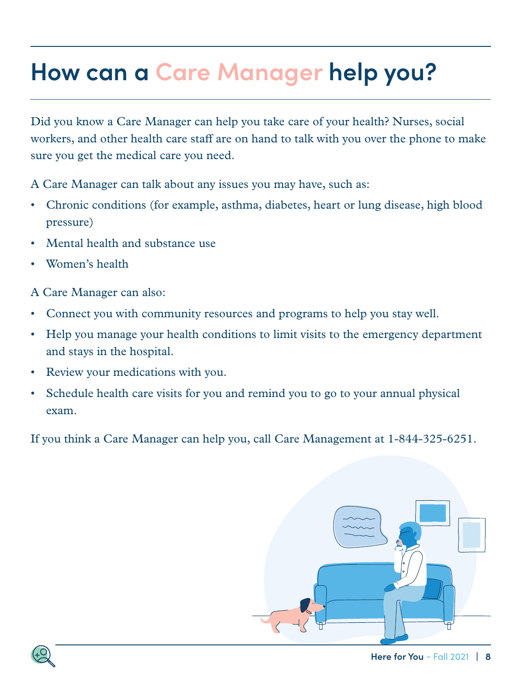## <span id="page-7-0"></span>**How can a Care Manager help you?**

Did you know a Care Manager can help you take care of your health? Nurses, social workers, and other health care staff are on hand to talk with you over the phone to make sure you get the medical care you need.

A Care Manager can talk about any issues you may have, such as:

- Chronic conditions (for example, asthma, diabetes, heart or lung disease, high blood pressure)
- Mental health and substance use
- Women's health

A Care Manager can also:

- Connect you with community resources and programs to help you stay well.
- Help you manage your health conditions to limit visits to the emergency department and stays in the hospital.
- Review your medications with you.
- Schedule health care visits for you and remind you to go to your annual physical exam.

If you think a Care Manager can help you, call Care Management at 1-844-325-6251.



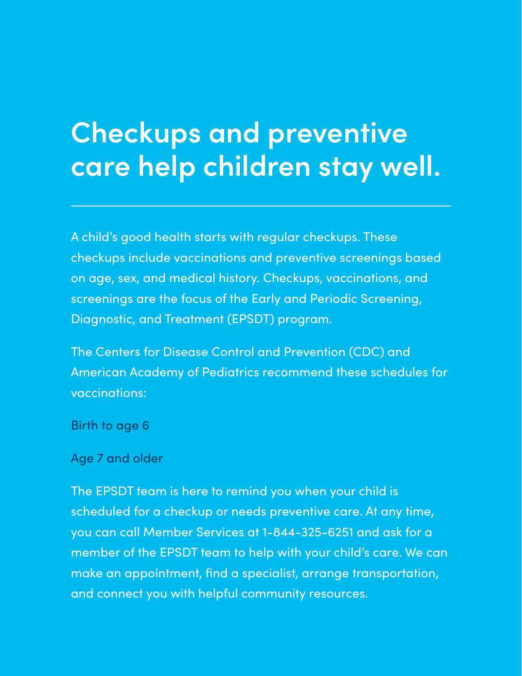## <span id="page-8-0"></span>**Checkups and preventive care help children stay well.**

A child's good health starts with regular checkups. These checkups include vaccinations and preventive screenings based on age, sex, and medical history. Checkups, vaccinations, and screenings are the focus of the Early and Periodic Screening, Diagnostic, and Treatment (EPSDT) program.

The Centers for Disease Control and Prevention (CDC) and American Academy of Pediatrics recommend these schedules for vaccinations:

B[irth to age 6](https://www.cdc.gov/vaccines/parents/downloads/parent-ver-sch-0-6yrs.pdf)

A[ge 7 and older](https://www.cdc.gov/vaccines/schedules/downloads/teen/parent-version-schedule-7-18yrs.pdf)

The EPSDT team is here to remind you when your child is scheduled for a checkup or needs preventive care. At any time, you can call Member Services at 1-844-325-6251 and ask for a member of the EPSDT team to help with your child's care. We can make an appointment, find a specialist, arrange transportation, and connect you with helpful community resources.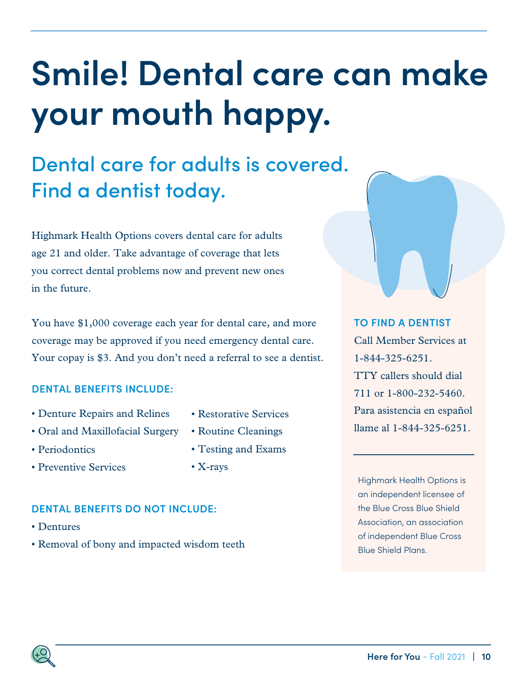## <span id="page-9-0"></span>**Smile! Dental care can make your mouth happy.**

## Dental care for adults is covered. Find a dentist today.

Highmark Health Options covers dental care for adults age 21 and older. Take advantage of coverage that lets you correct dental problems now and prevent new ones in the future.

You have \$1,000 coverage each year for dental care, and more coverage may be approved if you need emergency dental care. Your copay is \$3. And you don't need a referral to see a dentist.

### **DENTAL BENEFITS INCLUDE:**

- Denture Repairs and Relines
- Oral and Maxillofacial Surgery
- Periodontics
- Preventive Services
- Restorative Services
- Routine Cleanings
- Testing and Exams
- X-rays

### **DENTAL BENEFITS DO NOT INCLUDE:**

- Dentures
- Removal of bony and impacted wisdom teeth

Highmark Health Options is an independent licensee of the Blue Cross Blue Shield Association, an association of independent Blue Cross Blue Shield Plans.

#### **TO FIND A DENTIST**

Call Member Services at 1-844-325-6251. TTY callers should dial 711 or 1-800-232-5460. Para asistencia en español llame al 1-844-325-6251.

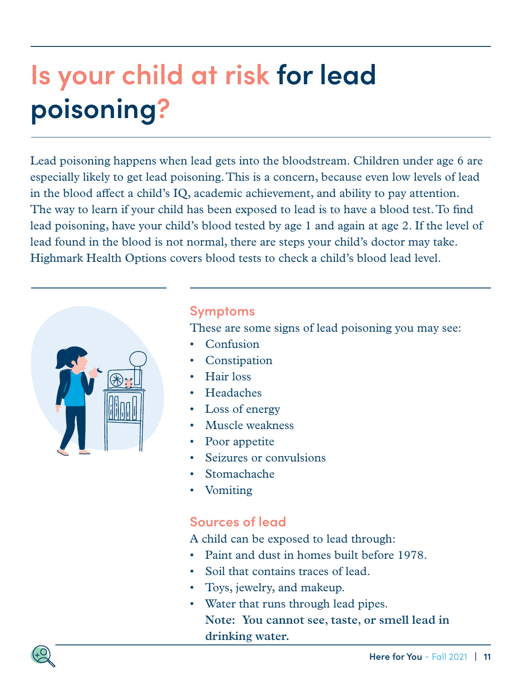## <span id="page-10-0"></span>**Is your child at risk for lead poisoning?**

Lead poisoning happens when lead gets into the bloodstream. Children under age 6 are especially likely to get lead poisoning. This is a concern, because even low levels of lead in the blood affect a child's IQ, academic achievement, and ability to pay attention. The way to learn if your child has been exposed to lead is to have a blood test. To find lead poisoning, have your child's blood tested by age 1 and again at age 2. If the level of lead found in the blood is not normal, there are steps your child's doctor may take. Highmark Health Options covers blood tests to check a child's blood lead level.



### **Symptoms**

These are some signs of lead poisoning you may see:

- Confusion
- **Constipation**
- Hair loss
- Headaches
- Loss of energy
- Muscle weakness
- Poor appetite
- Seizures or convulsions
- Stomachache
- Vomiting

### **Sources of lead**

A child can be exposed to lead through:

- Paint and dust in homes built before 1978.
- Soil that contains traces of lead.
- Toys, jewelry, and makeup.
- Water that runs through lead pipes. **Note: You cannot see, taste, or smell lead in drinking water.**

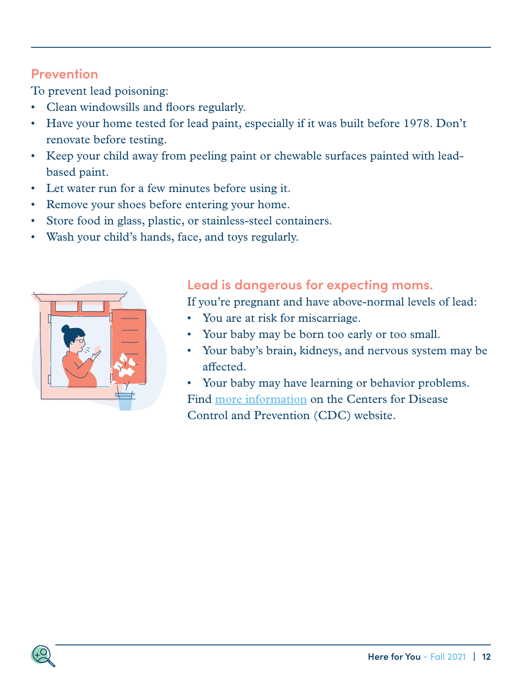### **Prevention**

To prevent lead poisoning:

- Clean windowsills and floors regularly.
- Have your home tested for lead paint, especially if it was built before 1978. Don't renovate before testing.
- Keep your child away from peeling paint or chewable surfaces painted with leadbased paint.
- Let water run for a few minutes before using it.
- Remove your shoes before entering your home.
- Store food in glass, plastic, or stainless-steel containers.
- Wash your child's hands, face, and toys regularly.



### **Lead is dangerous for expecting moms.**

If you're pregnant and have above-normal levels of lead:

- You are at risk for miscarriage.
- Your baby may be born too early or too small.
- Your baby's brain, kidneys, and nervous system may be affected.
- Your baby may have learning or behavior problems. Find [more information](https://www.cdc.gov/nceh/lead/) on the Centers for Disease Control and Prevention (CDC) website.

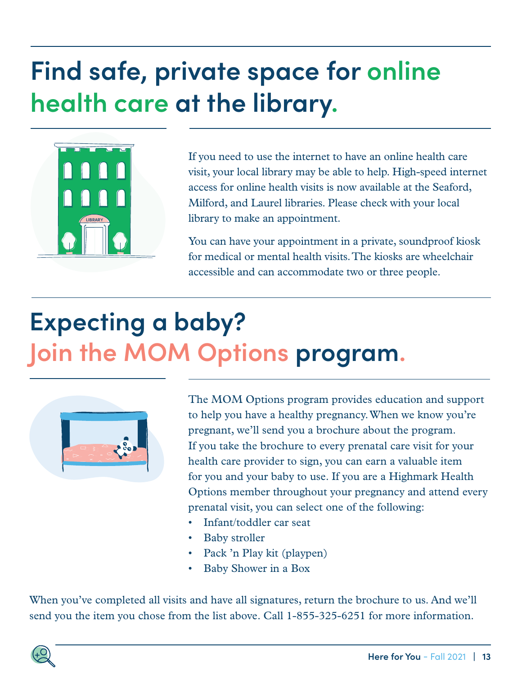## <span id="page-12-0"></span>**Find safe, private space for online health care at the library.**



If you need to use the internet to have an online health care visit, your local library may be able to help. High-speed internet access for online health visits is now available at the Seaford, Milford, and Laurel libraries. Please check with your local library to make an appointment.

You can have your appointment in a private, soundproof kiosk for medical or mental health visits. The kiosks are wheelchair accessible and can accommodate two or three people.

## **Expecting a baby? Join the MOM Options program.**



The MOM Options program provides education and support to help you have a healthy pregnancy. When we know you're pregnant, we'll send you a brochure about the program. If you take the brochure to every prenatal care visit for your health care provider to sign, you can earn a valuable item for you and your baby to use. If you are a Highmark Health Options member throughout your pregnancy and attend every prenatal visit, you can select one of the following:

- Infant/toddler car seat
- Baby stroller
- Pack 'n Play kit (playpen)
- Baby Shower in a Box

When you've completed all visits and have all signatures, return the brochure to us. And we'll send you the item you chose from the list above. Call 1-855-325-6251 for more information.

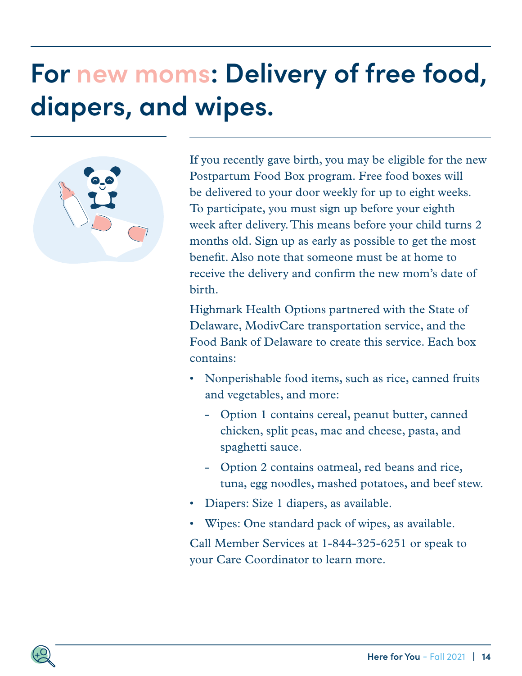## <span id="page-13-0"></span>**For new moms: Delivery of free food, diapers, and wipes.**



If you recently gave birth, you may be eligible for the new Postpartum Food Box program. Free food boxes will be delivered to your door weekly for up to eight weeks. To participate, you must sign up before your eighth week after delivery. This means before your child turns 2 months old. Sign up as early as possible to get the most benefit. Also note that someone must be at home to receive the delivery and confirm the new mom's date of birth.

Highmark Health Options partnered with the State of Delaware, ModivCare transportation service, and the Food Bank of Delaware to create this service. Each box contains:

- Nonperishable food items, such as rice, canned fruits and vegetables, and more:
	- Option 1 contains cereal, peanut butter, canned chicken, split peas, mac and cheese, pasta, and spaghetti sauce.
	- Option 2 contains oatmeal, red beans and rice, tuna, egg noodles, mashed potatoes, and beef stew.
- Diapers: Size 1 diapers, as available.
- Wipes: One standard pack of wipes, as available.

Call Member Services at 1-844-325-6251 or speak to your Care Coordinator to learn more.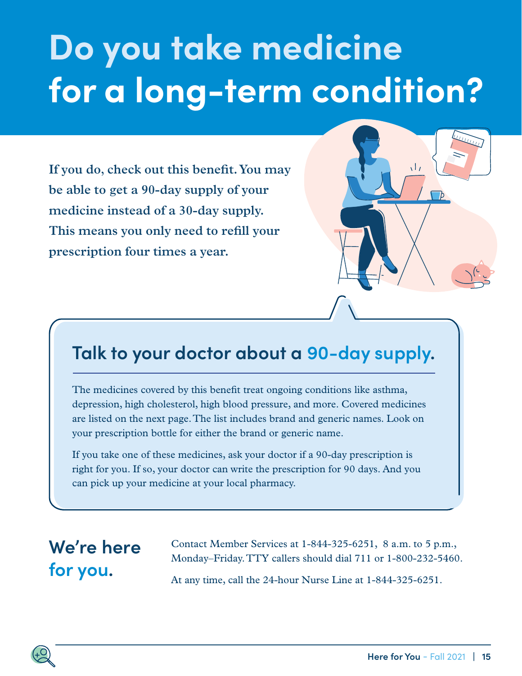## **Do you take medicine for a long-term condition?**

**If you do, check out this benefit. You may be able to get a 90-day supply of your medicine instead of a 30-day supply. This means you only need to refill your prescription four times a year.** 



### **Talk to your doctor about a 90-day supply.**

The medicines covered by this benefit treat ongoing conditions like asthma, depression, high cholesterol, high blood pressure, and more. Covered medicines are listed on the next page. The list includes brand and generic names. Look on your prescription bottle for either the brand or generic name.

If you take one of these medicines, ask your doctor if a 90-day prescription is right for you. If so, your doctor can write the prescription for 90 days. And you can pick up your medicine at your local pharmacy.

## **We're here for you.**

Contact Member Services at 1-844-325-6251, 8 a.m. to 5 p.m., Monday–Friday. TTY callers should dial 711 or 1-800-232-5460. At any time, call the 24-hour Nurse Line at 1-844-325-6251.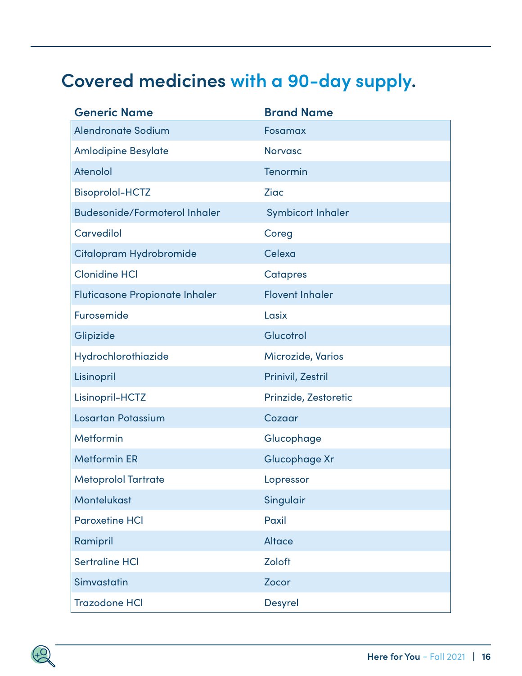## **Covered medicines with a 90-day supply.**

| <b>Generic Name</b>                   | <b>Brand Name</b>        |
|---------------------------------------|--------------------------|
| <b>Alendronate Sodium</b>             | Fosamax                  |
| <b>Amlodipine Besylate</b>            | <b>Norvasc</b>           |
| <b>Atenolol</b>                       | Tenormin                 |
| <b>Bisoprolol-HCTZ</b>                | <b>Ziac</b>              |
| <b>Budesonide/Formoterol Inhaler</b>  | <b>Symbicort Inhaler</b> |
| <b>Carvedilol</b>                     | Coreg                    |
| Citalopram Hydrobromide               | Celexa                   |
| <b>Clonidine HCI</b>                  | <b>Catapres</b>          |
| <b>Fluticasone Propionate Inhaler</b> | <b>Flovent Inhaler</b>   |
| Furosemide                            | Lasix                    |
| Glipizide                             | Glucotrol                |
| Hydrochlorothiazide                   | <b>Microzide, Varios</b> |
| Lisinopril                            | Prinivil, Zestril        |
| Lisinopril-HCTZ                       | Prinzide, Zestoretic     |
| <b>Losartan Potassium</b>             | Cozaar                   |
| Metformin                             | Glucophage               |
| <b>Metformin ER</b>                   | Glucophage Xr            |
| <b>Metoprolol Tartrate</b>            | Lopressor                |
| <b>Montelukast</b>                    | Singulair                |
| <b>Paroxetine HCI</b>                 | Paxil                    |
| Ramipril                              | <b>Altace</b>            |
| <b>Sertraline HCI</b>                 | Zoloft                   |
| Simvastatin                           | Zocor                    |
| <b>Trazodone HCI</b>                  | <b>Desyrel</b>           |

Highmark Health Options is an independent licensee of the Blue Cross Blue Shield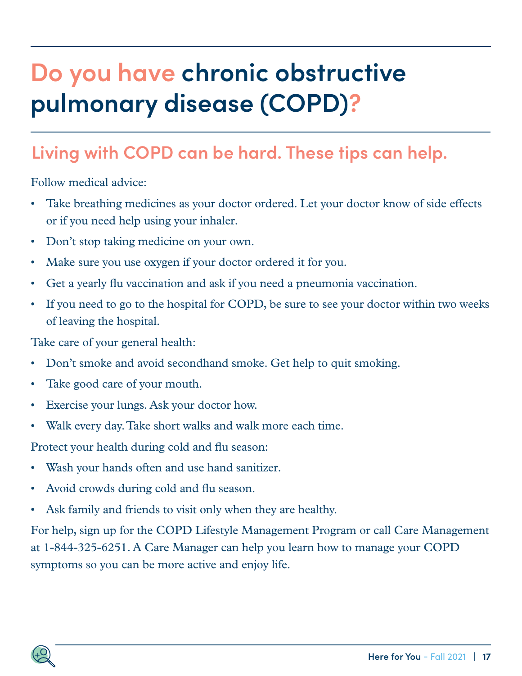## <span id="page-16-0"></span>**Do you have chronic obstructive pulmonary disease (COPD)?**

## **Living with COPD can be hard. These tips can help.**

Follow medical advice:

- Take breathing medicines as your doctor ordered. Let your doctor know of side effects or if you need help using your inhaler.
- Don't stop taking medicine on your own.
- Make sure you use oxygen if your doctor ordered it for you.
- Get a yearly flu vaccination and ask if you need a pneumonia vaccination.
- If you need to go to the hospital for COPD, be sure to see your doctor within two weeks of leaving the hospital.

Take care of your general health:

- Don't smoke and avoid secondhand smoke. Get help to quit smoking.
- Take good care of your mouth.
- Exercise your lungs. Ask your doctor how.
- Walk every day. Take short walks and walk more each time.

Protect your health during cold and flu season:

- Wash your hands often and use hand sanitizer.
- Avoid crowds during cold and flu season.
- Ask family and friends to visit only when they are healthy.

For help, sign up for the COPD Lifestyle Management Program or call Care Management at 1-844-325-6251. A Care Manager can help you learn how to manage your COPD symptoms so you can be more active and enjoy life.

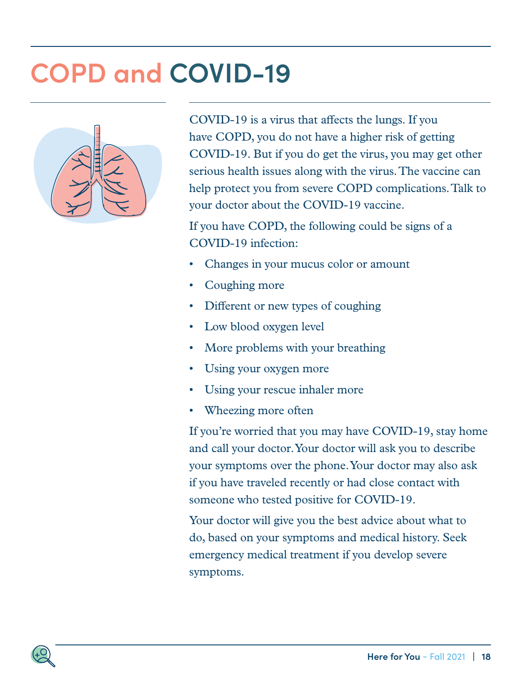## **COPD and COVID-19**



COVID-19 is a virus that affects the lungs. If you have COPD, you do not have a higher risk of getting COVID-19. But if you do get the virus, you may get other serious health issues along with the virus. The vaccine can help protect you from severe COPD complications. Talk to your doctor about the COVID-19 vaccine.

If you have COPD, the following could be signs of a COVID-19 infection:

- Changes in your mucus color or amount
- Coughing more
- Different or new types of coughing
- Low blood oxygen level
- More problems with your breathing
- Using your oxygen more
- Using your rescue inhaler more
- Wheezing more often

If you're worried that you may have COVID-19, stay home and call your doctor. Your doctor will ask you to describe your symptoms over the phone. Your doctor may also ask if you have traveled recently or had close contact with someone who tested positive for COVID-19.

Your doctor will give you the best advice about what to do, based on your symptoms and medical history. Seek emergency medical treatment if you develop severe symptoms.

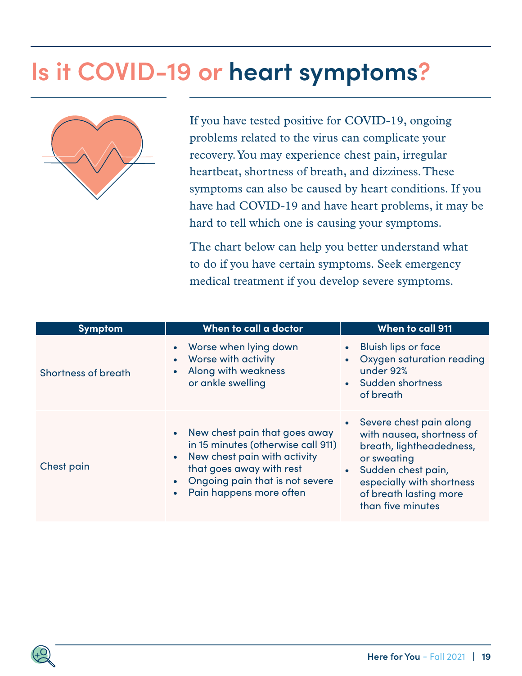## <span id="page-18-0"></span>**Is it COVID-19 or heart symptoms?**



If you have tested positive for COVID-19, ongoing problems related to the virus can complicate your recovery. You may experience chest pain, irregular heartbeat, shortness of breath, and dizziness. These symptoms can also be caused by heart conditions. If you have had COVID-19 and have heart problems, it may be hard to tell which one is causing your symptoms.

The chart below can help you better understand what to do if you have certain symptoms. Seek emergency medical treatment if you develop severe symptoms.

| <b>Symptom</b>             | When to call a doctor                                                                                                                                                                           | When to call 911                                                                                                                                                                                                 |
|----------------------------|-------------------------------------------------------------------------------------------------------------------------------------------------------------------------------------------------|------------------------------------------------------------------------------------------------------------------------------------------------------------------------------------------------------------------|
| <b>Shortness of breath</b> | Worse when lying down<br>• Worse with activity<br>Along with weakness<br>or ankle swelling                                                                                                      | Bluish lips or face<br>• Oxygen saturation reading<br>under 92%<br>• Sudden shortness<br>of breath                                                                                                               |
| Chest pain                 | • New chest pain that goes away<br>in 15 minutes (otherwise call 911)<br>New chest pain with activity<br>that goes away with rest<br>Ongoing pain that is not severe<br>Pain happens more often | • Severe chest pain along<br>with nausea, shortness of<br>breath, lightheadedness,<br>or sweating<br>Sudden chest pain,<br>$\bullet$<br>especially with shortness<br>of breath lasting more<br>than five minutes |

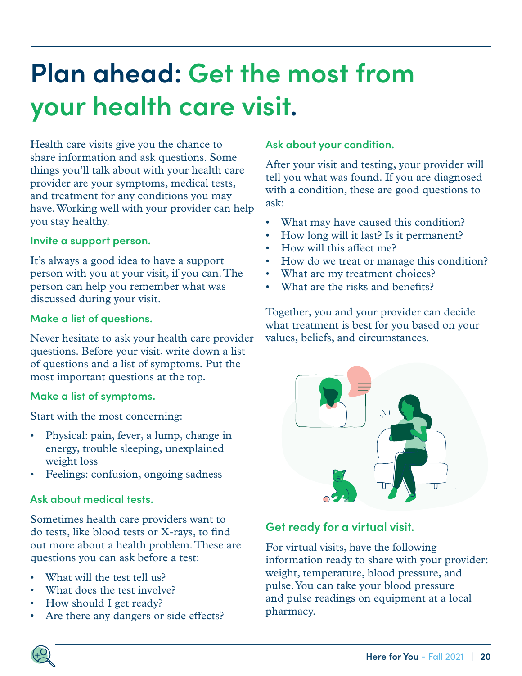## <span id="page-19-0"></span>**Plan ahead: Get the most from your health care visit.**

Health care visits give you the chance to share information and ask questions. Some things you'll talk about with your health care provider are your symptoms, medical tests, and treatment for any conditions you may have. Working well with your provider can help you stay healthy.

#### **Invite a support person.**

It's always a good idea to have a support person with you at your visit, if you can. The person can help you remember what was discussed during your visit.

#### **Make a list of questions.**

Never hesitate to ask your health care provider questions. Before your visit, write down a list of questions and a list of symptoms. Put the most important questions at the top.

#### **Make a list of symptoms.**

Start with the most concerning:

- Physical: pain, fever, a lump, change in energy, trouble sleeping, unexplained weight loss
- Feelings: confusion, ongoing sadness

#### **Ask about medical tests.**

Sometimes health care providers want to do tests, like blood tests or X-rays, to find out more about a health problem. These are questions you can ask before a test:

- What will the test tell us?
- What does the test involve?
- How should I get ready?
- Are there any dangers or side effects?

#### **Ask about your condition.**

After your visit and testing, your provider will tell you what was found. If you are diagnosed with a condition, these are good questions to ask:

- What may have caused this condition?
- How long will it last? Is it permanent?
- How will this affect me?
- How do we treat or manage this condition?
- What are my treatment choices?
- What are the risks and benefits?

Together, you and your provider can decide what treatment is best for you based on your values, beliefs, and circumstances.



### **Get ready for a virtual visit.**

For virtual visits, have the following information ready to share with your provider: weight, temperature, blood pressure, and pulse. You can take your blood pressure and pulse readings on equipment at a local pharmacy.

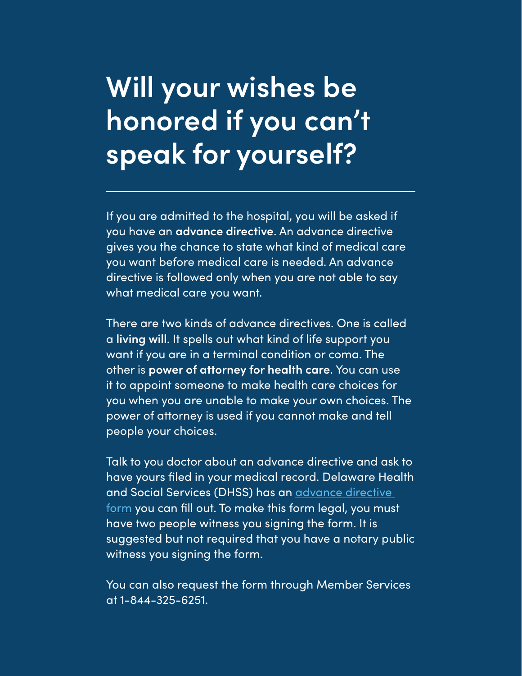## <span id="page-20-0"></span>**Will your wishes be honored if you can't speak for yourself?**

If you are admitted to the hospital, you will be asked if you have an **advance directive**. An advance directive gives you the chance to state what kind of medical care you want before medical care is needed. An advance directive is followed only when you are not able to say what medical care you want.

There are two kinds of advance directives. One is called a **living will**. It spells out what kind of life support you want if you are in a terminal condition or coma. The other is **power of attorney for health care**. You can use it to appoint someone to make health care choices for you when you are unable to make your own choices. The power of attorney is used if you cannot make and tell people your choices.

Talk to you doctor about an advance directive and ask to have yours filed in your medical record. Delaware Health and Social Services (DHSS) has an [advance directive](https://www.dhss.delaware.gov/dhss/dsaapd/advance1.html)  [form](https://www.dhss.delaware.gov/dhss/dsaapd/advance1.html) you can fill out. To make this form legal, you must have two people witness you signing the form. It is suggested but not required that you have a notary public witness you signing the form.

You can also request the form through Member Services at 1-844-325-6251.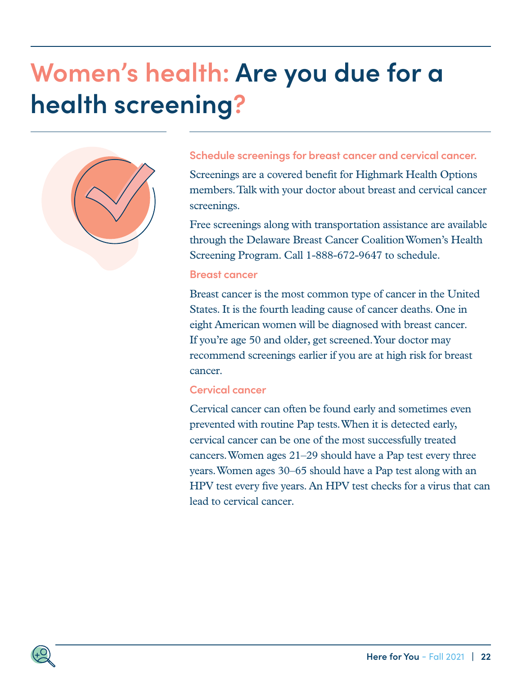## <span id="page-21-0"></span>**Women's health: Are you due for a health screening?**



#### **Schedule screenings for breast cancer and cervical cancer.**

Screenings are a covered benefit for Highmark Health Options members. Talk with your doctor about breast and cervical cancer screenings.

Free screenings along with transportation assistance are available through the Delaware Breast Cancer Coalition Women's Health Screening Program. Call 1-888-672-9647 to schedule.

#### **Breast cancer**

Breast cancer is the most common type of cancer in the United States. It is the fourth leading cause of cancer deaths. One in eight American women will be diagnosed with breast cancer. If you're age 50 and older, get screened. Your doctor may recommend screenings earlier if you are at high risk for breast cancer.

#### **Cervical cancer**

Cervical cancer can often be found early and sometimes even prevented with routine Pap tests. When it is detected early, cervical cancer can be one of the most successfully treated cancers. Women ages 21–29 should have a Pap test every three years. Women ages 30–65 should have a Pap test along with an HPV test every five years. An HPV test checks for a virus that can lead to cervical cancer.

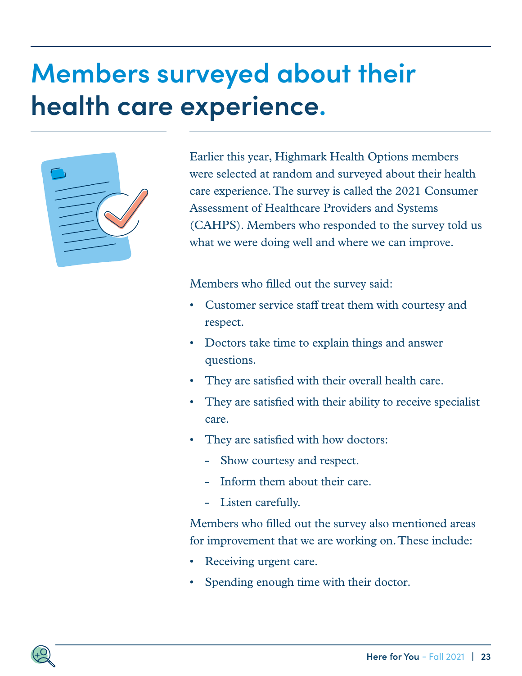## <span id="page-22-0"></span>**Members surveyed about their health care experience.**



Earlier this year, Highmark Health Options members were selected at random and surveyed about their health care experience. The survey is called the 2021 Consumer Assessment of Healthcare Providers and Systems (CAHPS). Members who responded to the survey told us what we were doing well and where we can improve.

Members who filled out the survey said:

- Customer service staff treat them with courtesy and respect.
- Doctors take time to explain things and answer questions.
- They are satisfied with their overall health care.
- They are satisfied with their ability to receive specialist care.
- They are satisfied with how doctors:
	- Show courtesy and respect.
	- Inform them about their care.
	- Listen carefully.

Members who filled out the survey also mentioned areas for improvement that we are working on. These include:

- Receiving urgent care.
- Spending enough time with their doctor.

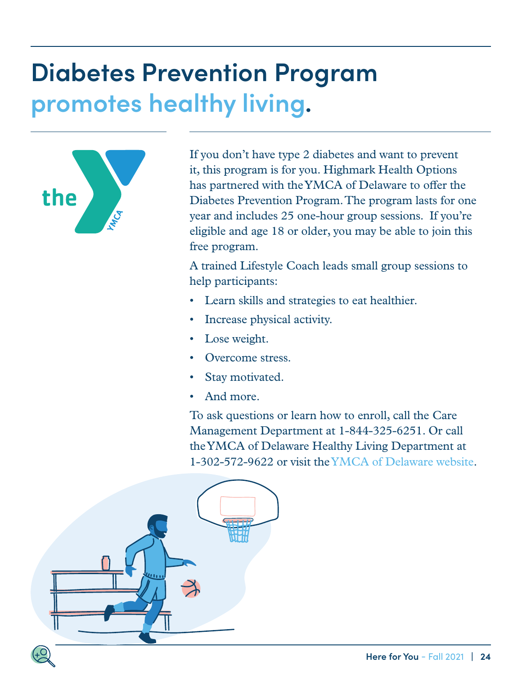## <span id="page-23-0"></span>**Diabetes Prevention Program promotes healthy living.**



If you don't have type 2 diabetes and want to prevent it, this program is for you. Highmark Health Options has partnered with the YMCA of Delaware to offer the Diabetes Prevention Program. The program lasts for one year and includes 25 one-hour group sessions. If you're eligible and age 18 or older, you may be able to join this free program.

A trained Lifestyle Coach leads small group sessions to help participants:

- Learn skills and strategies to eat healthier.
- Increase physical activity.
- Lose weight.
- Overcome stress.
- Stay motivated.
- And more.

To ask questions or learn how to enroll, call the Care Management Department at 1-844-325-6251. Or call the YMCA of Delaware Healthy Living Department at 1-302-572-9622 or visit the [YMCA of Delaware website.](https://www.ymcade.org)

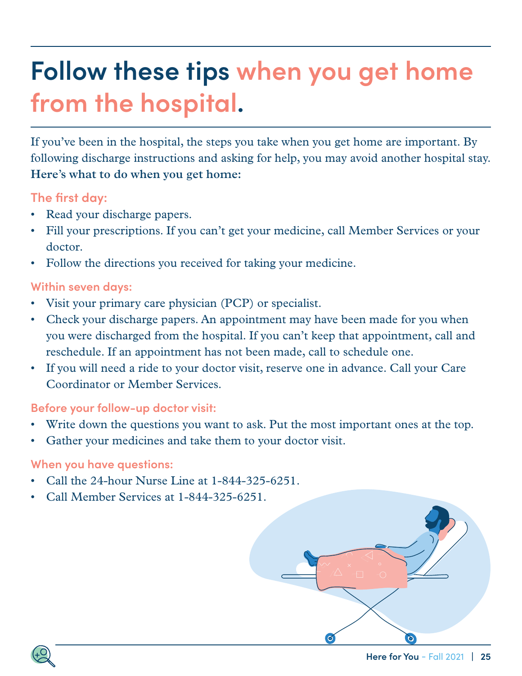## <span id="page-24-0"></span>**Follow these tips when you get home from the hospital.**

If you've been in the hospital, the steps you take when you get home are important. By following discharge instructions and asking for help, you may avoid another hospital stay. **Here's what to do when you get home:**

### **The first day:**

- Read your discharge papers.
- Fill your prescriptions. If you can't get your medicine, call Member Services or your doctor.
- Follow the directions you received for taking your medicine.

### **Within seven days:**

- Visit your primary care physician (PCP) or specialist.
- Check your discharge papers. An appointment may have been made for you when you were discharged from the hospital. If you can't keep that appointment, call and reschedule. If an appointment has not been made, call to schedule one.
- If you will need a ride to your doctor visit, reserve one in advance. Call your Care Coordinator or Member Services.

### **Before your follow-up doctor visit:**

- Write down the questions you want to ask. Put the most important ones at the top.
- Gather your medicines and take them to your doctor visit.

### **When you have questions:**

- Call the 24-hour Nurse Line at 1-844-325-6251.
- Call Member Services at 1-844-325-6251.



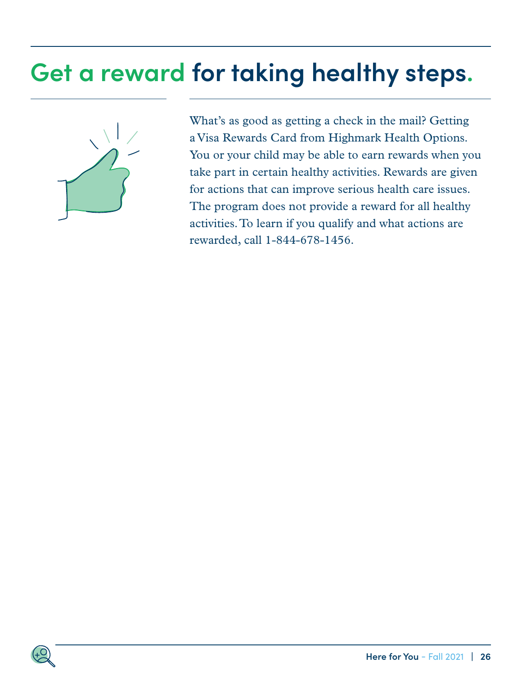## <span id="page-25-0"></span>**Get a reward for taking healthy steps.**



What's as good as getting a check in the mail? Getting a Visa Rewards Card from Highmark Health Options. You or your child may be able to earn rewards when you take part in certain healthy activities. Rewards are given for actions that can improve serious health care issues. The program does not provide a reward for all healthy activities. To learn if you qualify and what actions are rewarded, call 1-844-678-1456.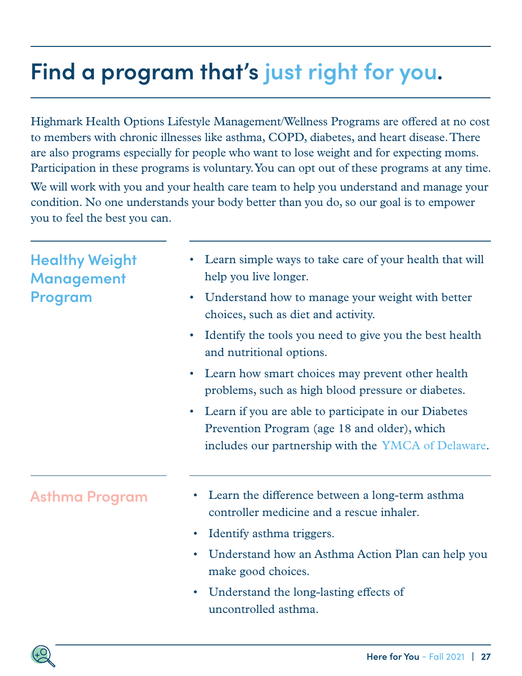## <span id="page-26-0"></span>**Find a program that's just right for you.**

Highmark Health Options Lifestyle Management/Wellness Programs are offered at no cost to members with chronic illnesses like asthma, COPD, diabetes, and heart disease. There are also programs especially for people who want to lose weight and for expecting moms. Participation in these programs is voluntary. You can opt out of these programs at any time.

We will work with you and your health care team to help you understand and manage your condition. No one understands your body better than you do, so our goal is to empower you to feel the best you can.

| <b>Healthy Weight</b><br><b>Management</b><br><b>Program</b><br>$\bullet$<br>$\bullet$ | Learn simple ways to take care of your health that will<br>help you live longer.<br>Understand how to manage your weight with better<br>choices, such as diet and activity.<br>Identify the tools you need to give you the best health<br>and nutritional options. |
|----------------------------------------------------------------------------------------|--------------------------------------------------------------------------------------------------------------------------------------------------------------------------------------------------------------------------------------------------------------------|
| $\bullet$                                                                              | Learn how smart choices may prevent other health<br>problems, such as high blood pressure or diabetes.                                                                                                                                                             |
| $\bullet$                                                                              | Learn if you are able to participate in our Diabetes<br>Prevention Program (age 18 and older), which<br>includes our partnership with the YMCA of Delaware.                                                                                                        |
| <b>Asthma Program</b>                                                                  | Learn the difference between a long-term asthma<br>$\bullet$<br>controller medicine and a rescue inhaler.                                                                                                                                                          |
| $\bullet$                                                                              | Identify asthma triggers.                                                                                                                                                                                                                                          |
| $\bullet$                                                                              | Understand how an Asthma Action Plan can help you<br>make good choices.                                                                                                                                                                                            |
| $\bullet$                                                                              | Understand the long-lasting effects of<br>uncontrolled asthma.                                                                                                                                                                                                     |

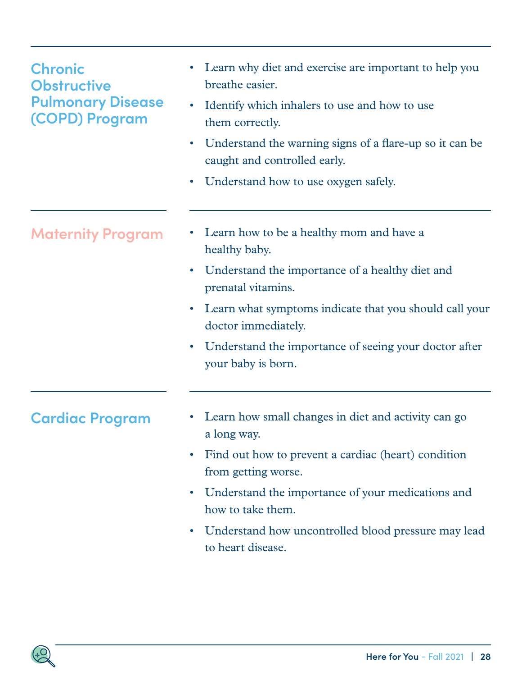| <b>Chronic</b><br><b>Obstructive</b><br><b>Pulmonary Disease</b><br>(COPD) Program | Learn why diet and exercise are important to help you<br>breathe easier.<br>Identify which inhalers to use and how to use<br>$\bullet$<br>them correctly.<br>Understand the warning signs of a flare-up so it can be<br>$\bullet$<br>caught and controlled early.<br>Understand how to use oxygen safely.<br>$\bullet$                    |
|------------------------------------------------------------------------------------|-------------------------------------------------------------------------------------------------------------------------------------------------------------------------------------------------------------------------------------------------------------------------------------------------------------------------------------------|
| <b>Maternity Program</b>                                                           | Learn how to be a healthy mom and have a<br>healthy baby.<br>Understand the importance of a healthy diet and<br>$\bullet$<br>prenatal vitamins.<br>Learn what symptoms indicate that you should call your<br>$\bullet$<br>doctor immediately.<br>Understand the importance of seeing your doctor after<br>$\bullet$<br>your baby is born. |
| <b>Cardiac Program</b>                                                             | Learn how small changes in diet and activity can go<br>a long way.<br>Find out how to prevent a cardiac (heart) condition<br>from getting worse.<br>Understand the importance of your medications and<br>$\bullet$<br>how to take them.<br>Understand how uncontrolled blood pressure may lead<br>$\bullet$<br>to heart disease.          |

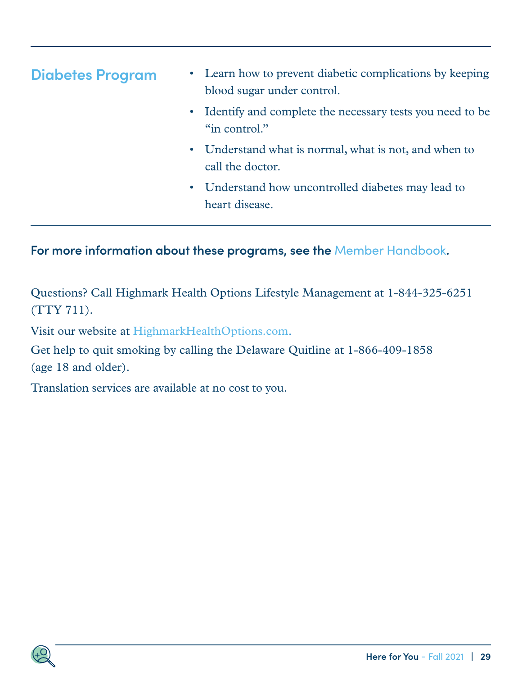| <b>Diabetes Program</b> | • Learn how to prevent diabetic complications by keeping<br>blood sugar under control. |
|-------------------------|----------------------------------------------------------------------------------------|
|                         | • Identify and complete the necessary tests you need to be<br>"in control."            |
|                         | • Understand what is normal, what is not, and when to<br>call the doctor.              |
|                         | • Understand how uncontrolled diabetes may lead to<br>heart disease.                   |

### **For more information about these programs, see the** [Member Handbook](https://www.highmarkhealthoptions.com/members/benefits-resources.html)**.**

Questions? Call Highmark Health Options Lifestyle Management at 1-844-325-6251 (TTY 711).

Visit our website at [HighmarkHealthOptions.com](http://HighmarkHealthOptions.com).

Get help to quit smoking by calling the Delaware Quitline at 1-866-409-1858 (age 18 and older).

Translation services are available at no cost to you.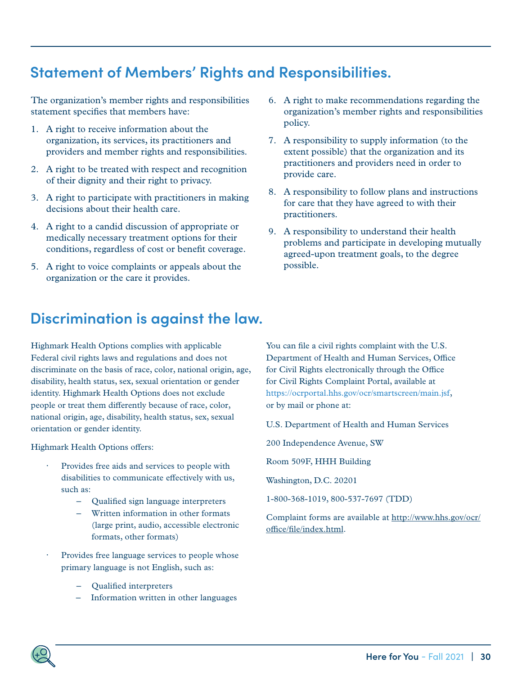### <span id="page-29-0"></span>**Statement of Members' Rights and Responsibilities.**

The organization's member rights and responsibilities statement specifies that members have:

- 1. A right to receive information about the organization, its services, its practitioners and providers and member rights and responsibilities.
- 2. A right to be treated with respect and recognition of their dignity and their right to privacy.
- 3. A right to participate with practitioners in making decisions about their health care.
- 4. A right to a candid discussion of appropriate or medically necessary treatment options for their conditions, regardless of cost or benefit coverage.
- 5. A right to voice complaints or appeals about the organization or the care it provides.
- 6. A right to make recommendations regarding the organization's member rights and responsibilities policy.
- 7. A responsibility to supply information (to the extent possible) that the organization and its practitioners and providers need in order to provide care.
- 8. A responsibility to follow plans and instructions for care that they have agreed to with their practitioners.
- 9. A responsibility to understand their health problems and participate in developing mutually agreed-upon treatment goals, to the degree possible.

### **Discrimination is against the law.**

Highmark Health Options complies with applicable Federal civil rights laws and regulations and does not discriminate on the basis of race, color, national origin, age, disability, health status, sex, sexual orientation or gender identity. Highmark Health Options does not exclude people or treat them differently because of race, color, national origin, age, disability, health status, sex, sexual orientation or gender identity.

Highmark Health Options offers:

- Provides free aids and services to people with disabilities to communicate effectively with us, such as:
	- Qualified sign language interpreters
	- Written information in other formats (large print, audio, accessible electronic formats, other formats)
- Provides free language services to people whose primary language is not English, such as:
	- Qualified interpreters
	- Information written in other languages

You can file a civil rights complaint with the U.S. Department of Health and Human Services, Office for Civil Rights electronically through the Office for Civil Rights Complaint Portal, available at <https://ocrportal.hhs.gov/ocr/smartscreen/main.jsf>[,](https://ocrportal.hhs.gov/ocr/portal/lobby.jsf,) or by mail or phone at:

U.S. Department of Health and Human Services

200 Independence Avenue, SW

Room 509F, HHH Building

Washington, D.C. 20201

1-800-368-1019, 800-537-7697 (TDD)

Complaint forms are available at [http://www.hhs.gov/ocr/](http://www.hhs.gov/ocr/office/file/index.html.) [office/file/index.html.](http://www.hhs.gov/ocr/office/file/index.html.)